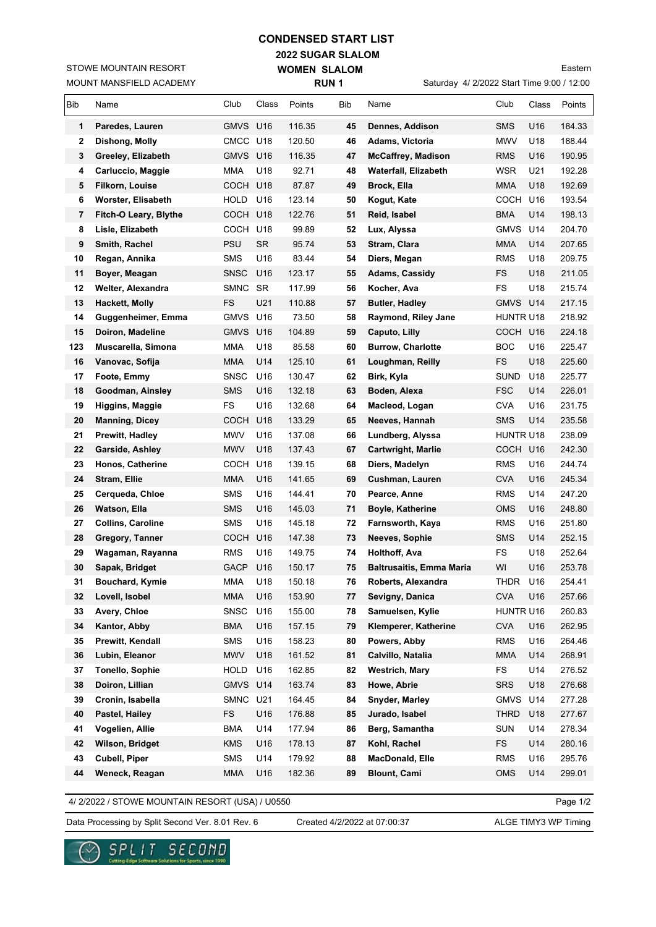## **CONDENSED START LIST**

**2022 SUGAR SLALOM WOMEN SLALOM** 

MOUNT MANSFIELD ACADEMY STOWE MOUNTAIN RESORT

| MOUNT MANSFIELD ACADEMY |                          |             | <b>RUN1</b>     |        |     | Saturday 4/ 2/2022 Start Time 9:00 / 12:00 |             |       |        |
|-------------------------|--------------------------|-------------|-----------------|--------|-----|--------------------------------------------|-------------|-------|--------|
| Bib                     | Name                     | Club        | Class           | Points | Bib | Name                                       | Club        | Class | Points |
| 1                       | Paredes, Lauren          | GMVS U16    |                 | 116.35 | 45  | Dennes, Addison                            | SMS         | U16   | 184.33 |
| 2                       | Dishong, Molly           | CMCC U18    |                 | 120.50 | 46  | Adams, Victoria                            | <b>MWV</b>  | U18   | 188.44 |
| 3                       | Greeley, Elizabeth       | GMVS U16    |                 | 116.35 | 47  | <b>McCaffrey, Madison</b>                  | RMS         | U16   | 190.95 |
| 4                       | Carluccio, Maggie        | <b>MMA</b>  | U18             | 92.71  | 48  | Waterfall, Elizabeth                       | WSR         | U21   | 192.28 |
| 5                       | Filkorn, Louise          | COCH U18    |                 | 87.87  | 49  | Brock, Ella                                | <b>MMA</b>  | U18   | 192.69 |
| 6                       | Worster, Elisabeth       | HOLD        | U16             | 123.14 | 50  | Kogut, Kate                                | сосн        | U16   | 193.54 |
| 7                       | Fitch-O Leary, Blythe    | COCH U18    |                 | 122.76 | 51  | Reid, Isabel                               | BMA         | U14   | 198.13 |
| 8                       | Lisle, Elizabeth         | COCH U18    |                 | 99.89  | 52  | Lux, Alyssa                                | GMVS        | U14   | 204.70 |
| 9                       | Smith, Rachel            | <b>PSU</b>  | <b>SR</b>       | 95.74  | 53  | Stram, Clara                               | <b>MMA</b>  | U14   | 207.65 |
| 10                      | Regan, Annika            | <b>SMS</b>  | U16             | 83.44  | 54  | Diers, Megan                               | RMS         | U18   | 209.75 |
| 11                      | Boyer, Meagan            | <b>SNSC</b> | U16             | 123.17 | 55  | Adams, Cassidy                             | FS          | U18   | 211.05 |
| 12                      | Welter, Alexandra        | <b>SMNC</b> | SR              | 117.99 | 56  | Kocher, Ava                                | FS          | U18   | 215.74 |
| 13                      | <b>Hackett, Molly</b>    | <b>FS</b>   | U21             | 110.88 | 57  | <b>Butler, Hadley</b>                      | GMVS        | U14   | 217.15 |
| 14                      | Guggenheimer, Emma       | <b>GMVS</b> | U16             | 73.50  | 58  | Raymond, Riley Jane                        | HUNTR U18   |       | 218.92 |
| 15                      | Doiron, Madeline         | <b>GMVS</b> | U16             | 104.89 | 59  | Caputo, Lilly                              | СОСН        | U16   | 224.18 |
| 123                     | Muscarella, Simona       | <b>MMA</b>  | U18             | 85.58  | 60  | <b>Burrow, Charlotte</b>                   | <b>BOC</b>  | U16   | 225.47 |
| 16                      | Vanovac, Sofija          | MMA         | U14             | 125.10 | 61  | Loughman, Reilly                           | FS          | U18   | 225.60 |
| 17                      | Foote, Emmy              | SNSC        | U16             | 130.47 | 62  | Birk, Kyla                                 | SUND        | U18   | 225.77 |
| 18                      | Goodman, Ainsley         | <b>SMS</b>  | U16             | 132.18 | 63  | Boden, Alexa                               | <b>FSC</b>  | U14   | 226.01 |
| 19                      | Higgins, Maggie          | <b>FS</b>   | U16             | 132.68 | 64  | Macleod, Logan                             | <b>CVA</b>  | U16   | 231.75 |
| 20                      | <b>Manning, Dicey</b>    | COCH U18    |                 | 133.29 | 65  | Neeves, Hannah                             | SMS         | U14   | 235.58 |
| 21                      | Prewitt, Hadley          | <b>MWV</b>  | U16             | 137.08 | 66  | Lundberg, Alyssa                           | HUNTR U18   |       | 238.09 |
| 22                      | Garside, Ashley          | <b>MWV</b>  | U18             | 137.43 | 67  | <b>Cartwright, Marlie</b>                  | СОСН        | U16   | 242.30 |
| 23                      | Honos, Catherine         | COCH        | U18             | 139.15 | 68  | Diers, Madelyn                             | <b>RMS</b>  | U16   | 244.74 |
| 24                      | Stram, Ellie             | MMA         | U <sub>16</sub> | 141.65 | 69  | Cushman, Lauren                            | CVA         | U16   | 245.34 |
| 25                      | Cerqueda, Chloe          | SMS         | U16             | 144.41 | 70  | Pearce, Anne                               | RMS         | U14   | 247.20 |
| 26                      | Watson, Ella             | <b>SMS</b>  | U16             | 145.03 | 71  | <b>Boyle, Katherine</b>                    | OMS         | U16   | 248.80 |
| 27                      | <b>Collins, Caroline</b> | SMS         | U16             | 145.18 | 72  | Farnsworth, Kaya                           | RMS         | U16   | 251.80 |
| 28                      | Gregory, Tanner          | COCH        | U16             | 147.38 | 73  | Neeves, Sophie                             | SMS         | U14   | 252.15 |
| 29                      | Wagaman, Rayanna         | <b>RMS</b>  | U16             | 149.75 | 74  | Holthoff, Ava                              | <b>FS</b>   | U18   | 252.64 |
| 30                      | Sapak, Bridget           | GACP U16    |                 | 150.17 | 75  | <b>Baltrusaitis, Emma Maria</b>            | WI          | U16   | 253.78 |
| 31                      | Bouchard, Kymie          | MMA         | U18             | 150.18 | 76  | Roberts, Alexandra                         | THDR        | U16   | 254.41 |
| 32                      | Lovell, Isobel           | <b>MMA</b>  | U16             | 153.90 | 77  | Sevigny, Danica                            | <b>CVA</b>  | U16   | 257.66 |
| 33                      | Avery, Chloe             | <b>SNSC</b> | U16             | 155.00 | 78  | Samuelsen, Kylie                           | HUNTR U16   |       | 260.83 |
| 34                      | Kantor, Abby             | <b>BMA</b>  | U16             | 157.15 | 79  | Klemperer, Katherine                       | <b>CVA</b>  | U16   | 262.95 |
| 35                      | Prewitt, Kendall         | <b>SMS</b>  | U16             | 158.23 | 80  | Powers, Abby                               | <b>RMS</b>  | U16   | 264.46 |
| 36                      | Lubin, Eleanor           | <b>MWV</b>  | U18             | 161.52 | 81  | Calvillo, Natalia                          | <b>MMA</b>  | U14   | 268.91 |
| 37                      | <b>Tonello, Sophie</b>   | <b>HOLD</b> | U16             | 162.85 | 82  | <b>Westrich, Mary</b>                      | FS          | U14   | 276.52 |
| 38                      | Doiron, Lillian          | GMVS U14    |                 | 163.74 | 83  | Howe, Abrie                                | <b>SRS</b>  | U18   | 276.68 |
| 39                      | Cronin, Isabella         | <b>SMNC</b> | U21             | 164.45 | 84  | Snyder, Marley                             | <b>GMVS</b> | U14   | 277.28 |
| 40                      | Pastel, Hailey           | FS          | U16             | 176.88 | 85  | Jurado, Isabel                             | THRD        | U18   | 277.67 |
| 41                      | Vogelien, Allie          | <b>BMA</b>  | U14             | 177.94 | 86  | Berg, Samantha                             | <b>SUN</b>  | U14   | 278.34 |
| 42                      | <b>Wilson, Bridget</b>   | <b>KMS</b>  | U16             | 178.13 | 87  | Kohl, Rachel                               | FS          | U14   | 280.16 |
| 43                      | Cubell, Piper            | <b>SMS</b>  | U14             | 179.92 | 88  | <b>MacDonald, Elle</b>                     | <b>RMS</b>  | U16   | 295.76 |
| 44                      | Weneck, Reagan           | <b>MMA</b>  | U16             | 182.36 | 89  | <b>Blount, Cami</b>                        | <b>OMS</b>  | U14   | 299.01 |
|                         |                          |             |                 |        |     |                                            |             |       |        |

4/ 2/2022 / STOWE MOUNTAIN RESORT (USA) / U0550

Page 1/2

Eastern

Data Processing by Split Second Ver. 8.01 Rev. 6 Created 4/2/2022 at 07:00:37 ALGE TIMY3 WP Timing

Created 4/2/2022 at 07:00:37